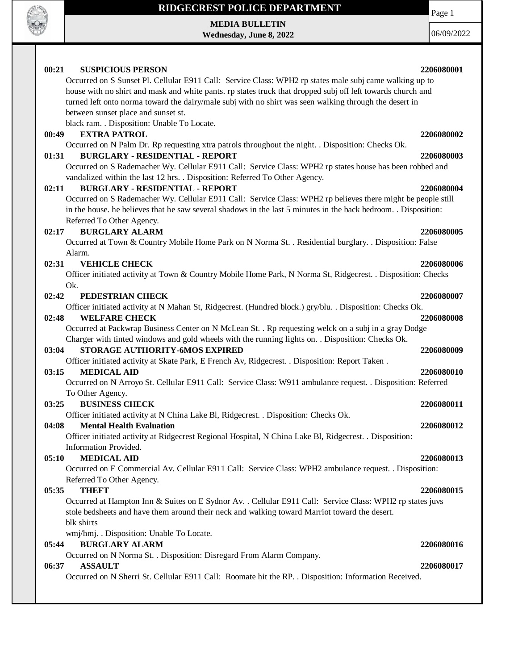

**MEDIA BULLETIN Wednesday, June 8, 2022** Page 1 06/09/2022

#### **00:21 SUSPICIOUS PERSON 2206080001** Occurred on S Sunset Pl. Cellular E911 Call: Service Class: WPH2 rp states male subj came walking up to house with no shirt and mask and white pants. rp states truck that dropped subj off left towards church and turned left onto norma toward the dairy/male subj with no shirt was seen walking through the desert in between sunset place and sunset st. black ram. . Disposition: Unable To Locate. **00:49 EXTRA PATROL 2206080002** Occurred on N Palm Dr. Rp requesting xtra patrols throughout the night. . Disposition: Checks Ok. **01:31 BURGLARY - RESIDENTIAL - REPORT 2206080003** Occurred on S Rademacher Wy. Cellular E911 Call: Service Class: WPH2 rp states house has been robbed and vandalized within the last 12 hrs. . Disposition: Referred To Other Agency. **02:11 BURGLARY - RESIDENTIAL - REPORT 2206080004** Occurred on S Rademacher Wy. Cellular E911 Call: Service Class: WPH2 rp believes there might be people still in the house. he believes that he saw several shadows in the last 5 minutes in the back bedroom. . Disposition: Referred To Other Agency. **02:17 BURGLARY ALARM 2206080005** Occurred at Town & Country Mobile Home Park on N Norma St. . Residential burglary. . Disposition: False Alarm. **02:31 VEHICLE CHECK 2206080006** Officer initiated activity at Town & Country Mobile Home Park, N Norma St, Ridgecrest. . Disposition: Checks Ok. **02:42 PEDESTRIAN CHECK 2206080007** Officer initiated activity at N Mahan St, Ridgecrest. (Hundred block.) gry/blu. . Disposition: Checks Ok. **02:48 WELFARE CHECK 2206080008** Occurred at Packwrap Business Center on N McLean St. . Rp requesting welck on a subj in a gray Dodge Charger with tinted windows and gold wheels with the running lights on. . Disposition: Checks Ok. **03:04 STORAGE AUTHORITY-6MOS EXPIRED 2206080009** Officer initiated activity at Skate Park, E French Av, Ridgecrest. . Disposition: Report Taken . **03:15 MEDICAL AID 2206080010** Occurred on N Arroyo St. Cellular E911 Call: Service Class: W911 ambulance request. . Disposition: Referred To Other Agency. **03:25 BUSINESS CHECK 2206080011** Officer initiated activity at N China Lake Bl, Ridgecrest. . Disposition: Checks Ok. **04:08 Mental Health Evaluation 2206080012** Officer initiated activity at Ridgecrest Regional Hospital, N China Lake Bl, Ridgecrest. . Disposition: Information Provided. **05:10 MEDICAL AID 2206080013** Occurred on E Commercial Av. Cellular E911 Call: Service Class: WPH2 ambulance request. . Disposition: Referred To Other Agency. **05:35 THEFT 2206080015** Occurred at Hampton Inn & Suites on E Sydnor Av. . Cellular E911 Call: Service Class: WPH2 rp states juvs stole bedsheets and have them around their neck and walking toward Marriot toward the desert. blk shirts wmj/hmj. . Disposition: Unable To Locate. **05:44 BURGLARY ALARM 2206080016** Occurred on N Norma St. . Disposition: Disregard From Alarm Company. **06:37 ASSAULT 2206080017** Occurred on N Sherri St. Cellular E911 Call: Roomate hit the RP. . Disposition: Information Received.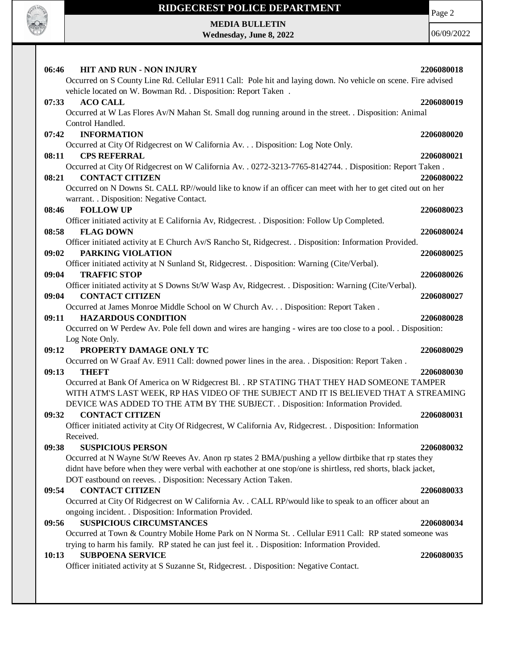

Page 2

**MEDIA BULLETIN Wednesday, June 8, 2022**

| <b>HIT AND RUN - NON INJURY</b><br>06:46                                                                                      | 2206080018 |
|-------------------------------------------------------------------------------------------------------------------------------|------------|
| Occurred on S County Line Rd. Cellular E911 Call: Pole hit and laying down. No vehicle on scene. Fire advised                 |            |
| vehicle located on W. Bowman Rd. . Disposition: Report Taken .                                                                |            |
| <b>ACO CALL</b><br>07:33                                                                                                      | 2206080019 |
| Occurred at W Las Flores Av/N Mahan St. Small dog running around in the street. . Disposition: Animal                         |            |
| Control Handled.                                                                                                              |            |
| <b>INFORMATION</b><br>07:42                                                                                                   | 2206080020 |
| Occurred at City Of Ridgecrest on W California Av. Disposition: Log Note Only.                                                |            |
| <b>CPS REFERRAL</b><br>08:11                                                                                                  | 2206080021 |
| Occurred at City Of Ridgecrest on W California Av. . 0272-3213-7765-8142744. . Disposition: Report Taken.                     |            |
| <b>CONTACT CITIZEN</b><br>08:21                                                                                               | 2206080022 |
| Occurred on N Downs St. CALL RP//would like to know if an officer can meet with her to get cited out on her                   |            |
| warrant. . Disposition: Negative Contact.                                                                                     |            |
| <b>FOLLOW UP</b><br>08:46                                                                                                     | 2206080023 |
| Officer initiated activity at E California Av, Ridgecrest. . Disposition: Follow Up Completed.                                |            |
| 08:58<br><b>FLAG DOWN</b>                                                                                                     | 2206080024 |
| Officer initiated activity at E Church Av/S Rancho St, Ridgecrest. . Disposition: Information Provided.                       |            |
| 09:02<br>PARKING VIOLATION                                                                                                    | 2206080025 |
| Officer initiated activity at N Sunland St, Ridgecrest. . Disposition: Warning (Cite/Verbal).<br>09:04<br><b>TRAFFIC STOP</b> |            |
| Officer initiated activity at S Downs St/W Wasp Av, Ridgecrest. . Disposition: Warning (Cite/Verbal).                         | 2206080026 |
| <b>CONTACT CITIZEN</b><br>09:04                                                                                               | 2206080027 |
| Occurred at James Monroe Middle School on W Church Av. Disposition: Report Taken .                                            |            |
| <b>HAZARDOUS CONDITION</b><br>09:11                                                                                           | 2206080028 |
| Occurred on W Perdew Av. Pole fell down and wires are hanging - wires are too close to a pool. . Disposition:                 |            |
| Log Note Only.                                                                                                                |            |
| PROPERTY DAMAGE ONLY TC<br>09:12                                                                                              | 2206080029 |
| Occurred on W Graaf Av. E911 Call: downed power lines in the area. . Disposition: Report Taken.                               |            |
| 09:13<br><b>THEFT</b>                                                                                                         | 2206080030 |
|                                                                                                                               |            |
|                                                                                                                               |            |
| Occurred at Bank Of America on W Ridgecrest Bl. . RP STATING THAT THEY HAD SOMEONE TAMPER                                     |            |
| WITH ATM'S LAST WEEK, RP HAS VIDEO OF THE SUBJECT AND IT IS BELIEVED THAT A STREAMING                                         |            |
| DEVICE WAS ADDED TO THE ATM BY THE SUBJECT. . Disposition: Information Provided.                                              |            |
| <b>CONTACT CITIZEN</b><br>09:32                                                                                               | 2206080031 |
| Officer initiated activity at City Of Ridgecrest, W California Av, Ridgecrest. . Disposition: Information<br>Received.        |            |
| <b>SUSPICIOUS PERSON</b><br>09:38                                                                                             |            |
| Occurred at N Wayne St/W Reeves Av. Anon rp states 2 BMA/pushing a yellow dirtbike that rp states they                        | 2206080032 |
| didnt have before when they were verbal with eachother at one stop/one is shirtless, red shorts, black jacket,                |            |
| DOT eastbound on reeves. . Disposition: Necessary Action Taken.                                                               |            |
| <b>CONTACT CITIZEN</b><br>09:54                                                                                               | 2206080033 |
| Occurred at City Of Ridgecrest on W California Av. . CALL RP/would like to speak to an officer about an                       |            |
| ongoing incident. . Disposition: Information Provided.                                                                        |            |
| <b>SUSPICIOUS CIRCUMSTANCES</b><br>09:56                                                                                      | 2206080034 |
| Occurred at Town & Country Mobile Home Park on N Norma St. . Cellular E911 Call: RP stated someone was                        |            |
| trying to harm his family. RP stated he can just feel it. . Disposition: Information Provided.                                |            |
| <b>SUBPOENA SERVICE</b><br>10:13                                                                                              | 2206080035 |
| Officer initiated activity at S Suzanne St, Ridgecrest. . Disposition: Negative Contact.                                      |            |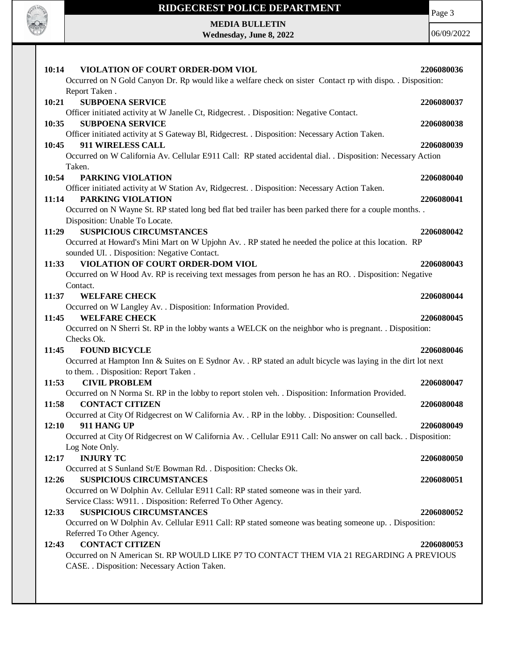

Page 3

**MEDIA BULLETIN Wednesday, June 8, 2022**

| VIOLATION OF COURT ORDER-DOM VIOL<br>10:14                                                                      | 2206080036 |
|-----------------------------------------------------------------------------------------------------------------|------------|
| Occurred on N Gold Canyon Dr. Rp would like a welfare check on sister Contact rp with dispo. . Disposition:     |            |
| Report Taken.                                                                                                   |            |
| 10:21<br><b>SUBPOENA SERVICE</b>                                                                                | 2206080037 |
| Officer initiated activity at W Janelle Ct, Ridgecrest. . Disposition: Negative Contact.                        |            |
| 10:35<br><b>SUBPOENA SERVICE</b>                                                                                | 2206080038 |
| Officer initiated activity at S Gateway Bl, Ridgecrest. . Disposition: Necessary Action Taken.                  |            |
| 911 WIRELESS CALL<br>10:45                                                                                      | 2206080039 |
| Occurred on W California Av. Cellular E911 Call: RP stated accidental dial. . Disposition: Necessary Action     |            |
| Taken.                                                                                                          |            |
| 10:54<br>PARKING VIOLATION                                                                                      | 2206080040 |
| Officer initiated activity at W Station Av, Ridgecrest. . Disposition: Necessary Action Taken.                  |            |
| PARKING VIOLATION<br>11:14                                                                                      | 2206080041 |
| Occurred on N Wayne St. RP stated long bed flat bed trailer has been parked there for a couple months           |            |
| Disposition: Unable To Locate.                                                                                  |            |
| <b>SUSPICIOUS CIRCUMSTANCES</b><br>11:29                                                                        | 2206080042 |
| Occurred at Howard's Mini Mart on W Upjohn Av. . RP stated he needed the police at this location. RP            |            |
| sounded UI. . Disposition: Negative Contact.                                                                    |            |
| VIOLATION OF COURT ORDER-DOM VIOL<br>11:33                                                                      | 2206080043 |
| Occurred on W Hood Av. RP is receiving text messages from person he has an RO. . Disposition: Negative          |            |
| Contact.                                                                                                        |            |
| 11:37<br><b>WELFARE CHECK</b>                                                                                   | 2206080044 |
| Occurred on W Langley Av. . Disposition: Information Provided.                                                  |            |
| <b>WELFARE CHECK</b><br>11:45                                                                                   | 2206080045 |
| Occurred on N Sherri St. RP in the lobby wants a WELCK on the neighbor who is pregnant. . Disposition:          |            |
| Checks Ok.                                                                                                      |            |
| <b>FOUND BICYCLE</b><br>11:45                                                                                   | 2206080046 |
| Occurred at Hampton Inn & Suites on E Sydnor Av. . RP stated an adult bicycle was laying in the dirt lot next   |            |
| to them. . Disposition: Report Taken.                                                                           |            |
| <b>CIVIL PROBLEM</b><br>11:53                                                                                   | 2206080047 |
| Occurred on N Norma St. RP in the lobby to report stolen veh. . Disposition: Information Provided.              |            |
| 11:58<br><b>CONTACT CITIZEN</b>                                                                                 | 2206080048 |
| Occurred at City Of Ridgecrest on W California Av. . RP in the lobby. . Disposition: Counselled.                |            |
| 12:10<br>911 HANG UP                                                                                            | 2206080049 |
| Occurred at City Of Ridgecrest on W California Av. . Cellular E911 Call: No answer on call back. . Disposition: |            |
| Log Note Only.                                                                                                  |            |
| <b>INJURY TC</b><br>12:17                                                                                       | 2206080050 |
| Occurred at S Sunland St/E Bowman Rd. . Disposition: Checks Ok.                                                 |            |
| <b>SUSPICIOUS CIRCUMSTANCES</b><br>12:26                                                                        | 2206080051 |
| Occurred on W Dolphin Av. Cellular E911 Call: RP stated someone was in their yard.                              |            |
| Service Class: W911. . Disposition: Referred To Other Agency.                                                   |            |
| <b>SUSPICIOUS CIRCUMSTANCES</b><br>12:33                                                                        | 2206080052 |
| Occurred on W Dolphin Av. Cellular E911 Call: RP stated someone was beating someone up. . Disposition:          |            |
| Referred To Other Agency.                                                                                       |            |
| <b>CONTACT CITIZEN</b><br>12:43                                                                                 | 2206080053 |
| Occurred on N American St. RP WOULD LIKE P7 TO CONTACT THEM VIA 21 REGARDING A PREVIOUS                         |            |
| CASE. . Disposition: Necessary Action Taken.                                                                    |            |
|                                                                                                                 |            |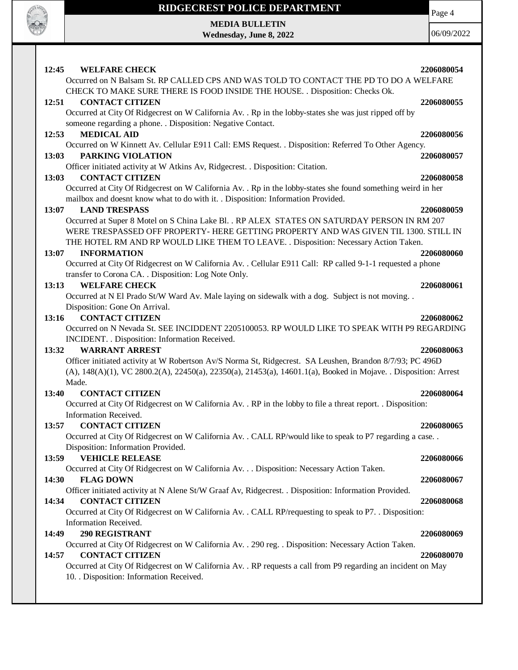

**MEDIA BULLETIN Wednesday, June 8, 2022**

06/09/2022

Page 4

| 12:45<br><b>WELFARE CHECK</b><br>Occurred on N Balsam St. RP CALLED CPS AND WAS TOLD TO CONTACT THE PD TO DO A WELFARE                                                              | 2206080054 |
|-------------------------------------------------------------------------------------------------------------------------------------------------------------------------------------|------------|
| CHECK TO MAKE SURE THERE IS FOOD INSIDE THE HOUSE. . Disposition: Checks Ok.                                                                                                        |            |
| 12:51<br><b>CONTACT CITIZEN</b>                                                                                                                                                     | 2206080055 |
| Occurred at City Of Ridgecrest on W California Av. . Rp in the lobby-states she was just ripped off by<br>someone regarding a phone. . Disposition: Negative Contact.               |            |
| <b>MEDICAL AID</b><br>12:53                                                                                                                                                         | 2206080056 |
| Occurred on W Kinnett Av. Cellular E911 Call: EMS Request. . Disposition: Referred To Other Agency.                                                                                 |            |
| PARKING VIOLATION<br>13:03                                                                                                                                                          | 2206080057 |
| Officer initiated activity at W Atkins Av, Ridgecrest. . Disposition: Citation.                                                                                                     |            |
| <b>CONTACT CITIZEN</b><br>13:03                                                                                                                                                     | 2206080058 |
| Occurred at City Of Ridgecrest on W California Av. . Rp in the lobby-states she found something weird in her                                                                        |            |
| mailbox and doesnt know what to do with it. . Disposition: Information Provided.                                                                                                    |            |
| 13:07<br><b>LAND TRESPASS</b>                                                                                                                                                       | 2206080059 |
| Occurred at Super 8 Motel on S China Lake Bl. . RP ALEX STATES ON SATURDAY PERSON IN RM 207<br>WERE TRESPASSED OFF PROPERTY- HERE GETTING PROPERTY AND WAS GIVEN TIL 1300. STILL IN |            |
| THE HOTEL RM AND RP WOULD LIKE THEM TO LEAVE. . Disposition: Necessary Action Taken.                                                                                                |            |
| 13:07<br><b>INFORMATION</b>                                                                                                                                                         | 2206080060 |
| Occurred at City Of Ridgecrest on W California Av. . Cellular E911 Call: RP called 9-1-1 requested a phone                                                                          |            |
| transfer to Corona CA. . Disposition: Log Note Only.                                                                                                                                |            |
| <b>WELFARE CHECK</b><br>13:13                                                                                                                                                       | 2206080061 |
| Occurred at N El Prado St/W Ward Av. Male laying on sidewalk with a dog. Subject is not moving                                                                                      |            |
| Disposition: Gone On Arrival.                                                                                                                                                       |            |
| <b>CONTACT CITIZEN</b><br>13:16                                                                                                                                                     | 2206080062 |
| Occurred on N Nevada St. SEE INCIDDENT 2205100053. RP WOULD LIKE TO SPEAK WITH P9 REGARDING                                                                                         |            |
| INCIDENT. . Disposition: Information Received.                                                                                                                                      |            |
| <b>WARRANT ARREST</b><br>13:32                                                                                                                                                      | 2206080063 |
| Officer initiated activity at W Robertson Av/S Norma St, Ridgecrest. SA Leushen, Brandon 8/7/93; PC 496D                                                                            |            |
| (A), 148(A)(1), VC 2800.2(A), 22450(a), 22350(a), 21453(a), 14601.1(a), Booked in Mojave. . Disposition: Arrest                                                                     |            |
| Made.                                                                                                                                                                               |            |
| <b>CONTACT CITIZEN</b><br>13:40                                                                                                                                                     | 2206080064 |
| Occurred at City Of Ridgecrest on W California Av. . RP in the lobby to file a threat report. . Disposition:                                                                        |            |
| Information Received.                                                                                                                                                               |            |
| 13:57<br><b>CONTACT CITIZEN</b>                                                                                                                                                     | 2206080065 |
| Occurred at City Of Ridgecrest on W California Av. . CALL RP/would like to speak to P7 regarding a case. .                                                                          |            |
| Disposition: Information Provided.                                                                                                                                                  |            |
| <b>VEHICLE RELEASE</b><br>13:59                                                                                                                                                     | 2206080066 |
| Occurred at City Of Ridgecrest on W California Av. Disposition: Necessary Action Taken.<br><b>FLAG DOWN</b><br>14:30                                                                | 2206080067 |
| Officer initiated activity at N Alene St/W Graaf Av, Ridgecrest. . Disposition: Information Provided.                                                                               |            |
| <b>CONTACT CITIZEN</b><br>14:34                                                                                                                                                     | 2206080068 |
| Occurred at City Of Ridgecrest on W California Av. . CALL RP/requesting to speak to P7. . Disposition:                                                                              |            |
| Information Received.                                                                                                                                                               |            |
| 290 REGISTRANT<br>14:49                                                                                                                                                             | 2206080069 |
| Occurred at City Of Ridgecrest on W California Av. . 290 reg. . Disposition: Necessary Action Taken.                                                                                |            |
| 14:57<br><b>CONTACT CITIZEN</b>                                                                                                                                                     | 2206080070 |
| Occurred at City Of Ridgecrest on W California Av. . RP requests a call from P9 regarding an incident on May                                                                        |            |
| 10. Disposition: Information Received.                                                                                                                                              |            |
|                                                                                                                                                                                     |            |
|                                                                                                                                                                                     |            |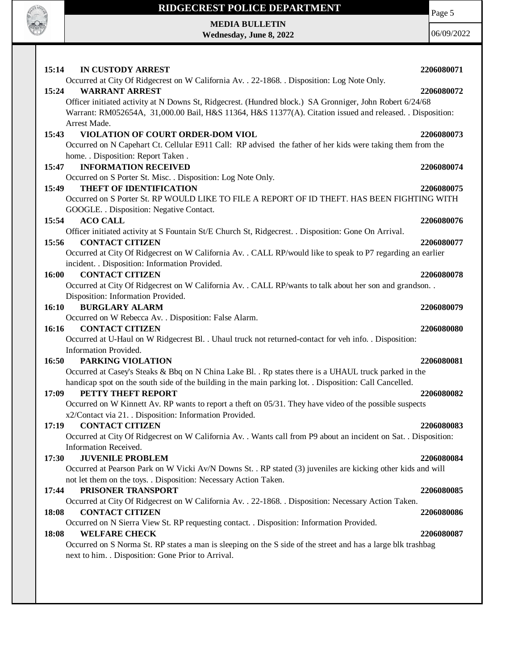

Page 5

**MEDIA BULLETIN Wednesday, June 8, 2022**

| 15:14<br>IN CUSTODY ARREST                                                                                                                                                                                                                                                                                                                                             | 2206080071 |
|------------------------------------------------------------------------------------------------------------------------------------------------------------------------------------------------------------------------------------------------------------------------------------------------------------------------------------------------------------------------|------------|
| Occurred at City Of Ridgecrest on W California Av. . 22-1868. . Disposition: Log Note Only.<br><b>WARRANT ARREST</b><br>15:24<br>Officer initiated activity at N Downs St, Ridgecrest. (Hundred block.) SA Gronniger, John Robert 6/24/68<br>Warrant: RM052654A, 31,000.00 Bail, H&S 11364, H&S 11377(A). Citation issued and released. . Disposition:<br>Arrest Made. | 2206080072 |
| VIOLATION OF COURT ORDER-DOM VIOL<br>15:43<br>Occurred on N Capehart Ct. Cellular E911 Call: RP advised the father of her kids were taking them from the<br>home. . Disposition: Report Taken.                                                                                                                                                                         | 2206080073 |
| <b>INFORMATION RECEIVED</b><br>15:47<br>Occurred on S Porter St. Misc. . Disposition: Log Note Only.                                                                                                                                                                                                                                                                   | 2206080074 |
| THEFT OF IDENTIFICATION<br>15:49<br>Occurred on S Porter St. RP WOULD LIKE TO FILE A REPORT OF ID THEFT. HAS BEEN FIGHTING WITH<br>GOOGLE. . Disposition: Negative Contact.                                                                                                                                                                                            | 2206080075 |
| 15:54<br><b>ACO CALL</b><br>Officer initiated activity at S Fountain St/E Church St, Ridgecrest. . Disposition: Gone On Arrival.                                                                                                                                                                                                                                       | 2206080076 |
| 15:56<br><b>CONTACT CITIZEN</b><br>Occurred at City Of Ridgecrest on W California Av. . CALL RP/would like to speak to P7 regarding an earlier<br>incident. . Disposition: Information Provided.                                                                                                                                                                       | 2206080077 |
| <b>CONTACT CITIZEN</b><br>16:00<br>Occurred at City Of Ridgecrest on W California Av. . CALL RP/wants to talk about her son and grandson. .<br>Disposition: Information Provided.                                                                                                                                                                                      | 2206080078 |
| <b>BURGLARY ALARM</b><br>16:10                                                                                                                                                                                                                                                                                                                                         | 2206080079 |
| Occurred on W Rebecca Av. . Disposition: False Alarm.<br>16:16<br><b>CONTACT CITIZEN</b><br>Occurred at U-Haul on W Ridgecrest Bl. . Uhaul truck not returned-contact for veh info. . Disposition:                                                                                                                                                                     | 2206080080 |
| Information Provided.<br>PARKING VIOLATION<br>16:50<br>Occurred at Casey's Steaks & Bbq on N China Lake Bl. . Rp states there is a UHAUL truck parked in the                                                                                                                                                                                                           | 2206080081 |
| handicap spot on the south side of the building in the main parking lot. . Disposition: Call Cancelled.<br>PETTY THEFT REPORT<br>17:09<br>Occurred on W Kinnett Av. RP wants to report a theft on 05/31. They have video of the possible suspects                                                                                                                      | 2206080082 |
| x2/Contact via 21. . Disposition: Information Provided.<br><b>CONTACT CITIZEN</b><br>17:19<br>Occurred at City Of Ridgecrest on W California Av. . Wants call from P9 about an incident on Sat. . Disposition:<br>Information Received.                                                                                                                                | 2206080083 |
| <b>JUVENILE PROBLEM</b><br>17:30<br>Occurred at Pearson Park on W Vicki Av/N Downs St. . RP stated (3) juveniles are kicking other kids and will<br>not let them on the toys. . Disposition: Necessary Action Taken.                                                                                                                                                   | 2206080084 |
| PRISONER TRANSPORT<br>17:44<br>Occurred at City Of Ridgecrest on W California Av. . 22-1868. . Disposition: Necessary Action Taken.                                                                                                                                                                                                                                    | 2206080085 |
| <b>CONTACT CITIZEN</b><br>18:08                                                                                                                                                                                                                                                                                                                                        | 2206080086 |
| Occurred on N Sierra View St. RP requesting contact. . Disposition: Information Provided.<br><b>WELFARE CHECK</b><br>18:08<br>Occurred on S Norma St. RP states a man is sleeping on the S side of the street and has a large blk trashbag<br>next to him. . Disposition: Gone Prior to Arrival.                                                                       | 2206080087 |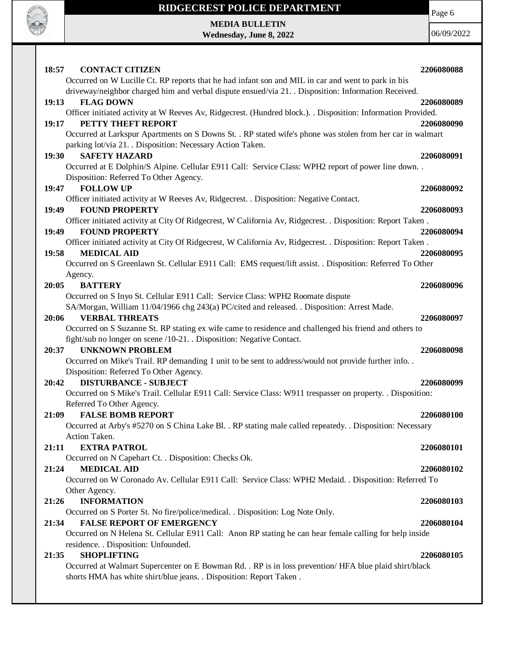

**MEDIA BULLETIN Wednesday, June 8, 2022** Page 6

| 18:57<br><b>CONTACT CITIZEN</b>                                                                                                                                                                            | 2206080088 |
|------------------------------------------------------------------------------------------------------------------------------------------------------------------------------------------------------------|------------|
| Occurred on W Lucille Ct. RP reports that he had infant son and MIL in car and went to park in his<br>driveway/neighbor charged him and verbal dispute ensued/via 21. . Disposition: Information Received. |            |
| 19:13<br><b>FLAG DOWN</b>                                                                                                                                                                                  | 2206080089 |
| Officer initiated activity at W Reeves Av, Ridgecrest. (Hundred block.). Disposition: Information Provided.                                                                                                |            |
| PETTY THEFT REPORT<br>19:17                                                                                                                                                                                | 2206080090 |
| Occurred at Larkspur Apartments on S Downs St. . RP stated wife's phone was stolen from her car in walmart                                                                                                 |            |
| parking lot/via 21. . Disposition: Necessary Action Taken.<br><b>SAFETY HAZARD</b><br>19:30                                                                                                                | 2206080091 |
| Occurred at E Dolphin/S Alpine. Cellular E911 Call: Service Class: WPH2 report of power line down                                                                                                          |            |
| Disposition: Referred To Other Agency.                                                                                                                                                                     |            |
| <b>FOLLOW UP</b><br>19:47                                                                                                                                                                                  | 2206080092 |
| Officer initiated activity at W Reeves Av, Ridgecrest. . Disposition: Negative Contact.                                                                                                                    |            |
| <b>FOUND PROPERTY</b><br>19:49                                                                                                                                                                             | 2206080093 |
| Officer initiated activity at City Of Ridgecrest, W California Av, Ridgecrest. . Disposition: Report Taken.                                                                                                |            |
| <b>FOUND PROPERTY</b><br>19:49                                                                                                                                                                             | 2206080094 |
| Officer initiated activity at City Of Ridgecrest, W California Av, Ridgecrest. . Disposition: Report Taken.                                                                                                |            |
| <b>MEDICAL AID</b><br>19:58<br>Occurred on S Greenlawn St. Cellular E911 Call: EMS request/lift assist. . Disposition: Referred To Other                                                                   | 2206080095 |
| Agency.                                                                                                                                                                                                    |            |
| <b>BATTERY</b><br>20:05                                                                                                                                                                                    | 2206080096 |
| Occurred on S Inyo St. Cellular E911 Call: Service Class: WPH2 Roomate dispute                                                                                                                             |            |
| SA/Morgan, William 11/04/1966 chg 243(a) PC/cited and released. . Disposition: Arrest Made.                                                                                                                |            |
| <b>VERBAL THREATS</b><br>20:06                                                                                                                                                                             | 2206080097 |
| Occurred on S Suzanne St. RP stating ex wife came to residence and challenged his friend and others to                                                                                                     |            |
| fight/sub no longer on scene /10-21. . Disposition: Negative Contact.                                                                                                                                      |            |
| <b>UNKNOWN PROBLEM</b><br>20:37                                                                                                                                                                            | 2206080098 |
| Occurred on Mike's Trail. RP demanding 1 unit to be sent to address/would not provide further info                                                                                                         |            |
| Disposition: Referred To Other Agency.<br><b>DISTURBANCE - SUBJECT</b><br>20:42                                                                                                                            | 2206080099 |
| Occurred on S Mike's Trail. Cellular E911 Call: Service Class: W911 trespasser on property. . Disposition:                                                                                                 |            |
| Referred To Other Agency.                                                                                                                                                                                  |            |
| <b>FALSE BOMB REPORT</b><br>21:09                                                                                                                                                                          | 2206080100 |
| Occurred at Arby's #5270 on S China Lake Bl. . RP stating male called repeatedy. . Disposition: Necessary                                                                                                  |            |
| Action Taken.                                                                                                                                                                                              |            |
| <b>EXTRA PATROL</b><br>21:11                                                                                                                                                                               | 2206080101 |
| Occurred on N Capehart Ct. . Disposition: Checks Ok.                                                                                                                                                       |            |
| 21:24<br><b>MEDICAL AID</b>                                                                                                                                                                                | 2206080102 |
| Occurred on W Coronado Av. Cellular E911 Call: Service Class: WPH2 Medaid. . Disposition: Referred To                                                                                                      |            |
| Other Agency.                                                                                                                                                                                              |            |
| <b>INFORMATION</b><br>21:26<br>Occurred on S Porter St. No fire/police/medical. . Disposition: Log Note Only.                                                                                              | 2206080103 |
| 21:34<br><b>FALSE REPORT OF EMERGENCY</b>                                                                                                                                                                  | 2206080104 |
| Occurred on N Helena St. Cellular E911 Call: Anon RP stating he can hear female calling for help inside                                                                                                    |            |
| residence. . Disposition: Unfounded.                                                                                                                                                                       |            |
| <b>SHOPLIFTING</b><br>21:35                                                                                                                                                                                | 2206080105 |
| Occurred at Walmart Supercenter on E Bowman Rd. . RP is in loss prevention/HFA blue plaid shirt/black                                                                                                      |            |
| shorts HMA has white shirt/blue jeans. . Disposition: Report Taken.                                                                                                                                        |            |
|                                                                                                                                                                                                            |            |